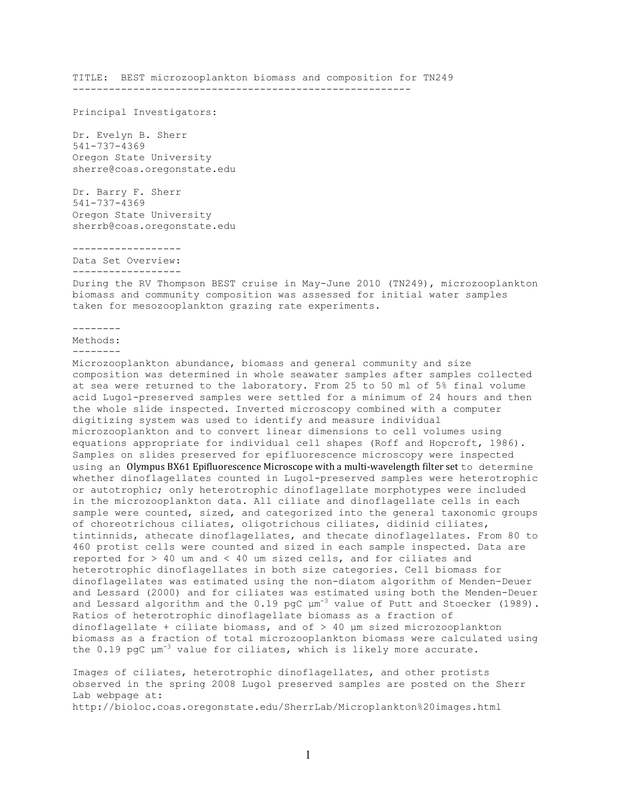TITLE: BEST microzooplankton biomass and composition for TN249 --------------------------------------------------------

Principal Investigators:

Dr. Evelyn B. Sherr 541-737-4369 Oregon State University sherre@coas.oregonstate.edu

Dr. Barry F. Sherr 541-737-4369 Oregon State University sherrb@coas.oregonstate.edu

------------------

Data Set Overview:

------------------

During the RV Thompson BEST cruise in May-June 2010 (TN249), microzooplankton biomass and community composition was assessed for initial water samples taken for mesozooplankton grazing rate experiments.

--------

Methods:

--------

Microzooplankton abundance, biomass and general community and size composition was determined in whole seawater samples after samples collected at sea were returned to the laboratory. From 25 to 50 ml of 5% final volume acid Lugol-preserved samples were settled for a minimum of 24 hours and then the whole slide inspected. Inverted microscopy combined with a computer digitizing system was used to identify and measure individual microzooplankton and to convert linear dimensions to cell volumes using equations appropriate for individual cell shapes (Roff and Hopcroft, 1986). Samples on slides preserved for epifluorescence microscopy were inspected using an Olympus BX61 Epifluorescence Microscope with a multi-wavelength filter set to determine whether dinoflagellates counted in Lugol-preserved samples were heterotrophic or autotrophic; only heterotrophic dinoflagellate morphotypes were included in the microzooplankton data. All ciliate and dinoflagellate cells in each sample were counted, sized, and categorized into the general taxonomic groups of choreotrichous ciliates, oligotrichous ciliates, didinid ciliates, tintinnids, athecate dinoflagellates, and thecate dinoflagellates. From 80 to 460 protist cells were counted and sized in each sample inspected. Data are reported for > 40 um and < 40 um sized cells, and for ciliates and heterotrophic dinoflagellates in both size categories. Cell biomass for dinoflagellates was estimated using the non-diatom algorithm of Menden-Deuer and Lessard (2000) and for ciliates was estimated using both the Menden-Deuer and Lessard algorithm and the  $0.19$  pgC  $\mu$ m<sup>-3</sup> value of Putt and Stoecker (1989). Ratios of heterotrophic dinoflagellate biomass as a fraction of dinoflagellate + ciliate biomass, and of > 40 µm sized microzooplankton biomass as a fraction of total microzooplankton biomass were calculated using the 0.19 pgC  $\mu$ m<sup>-3</sup> value for ciliates, which is likely more accurate.

Images of ciliates, heterotrophic dinoflagellates, and other protists observed in the spring 2008 Lugol preserved samples are posted on the Sherr Lab webpage at:

http://bioloc.coas.oregonstate.edu/SherrLab/Microplankton%20images.html